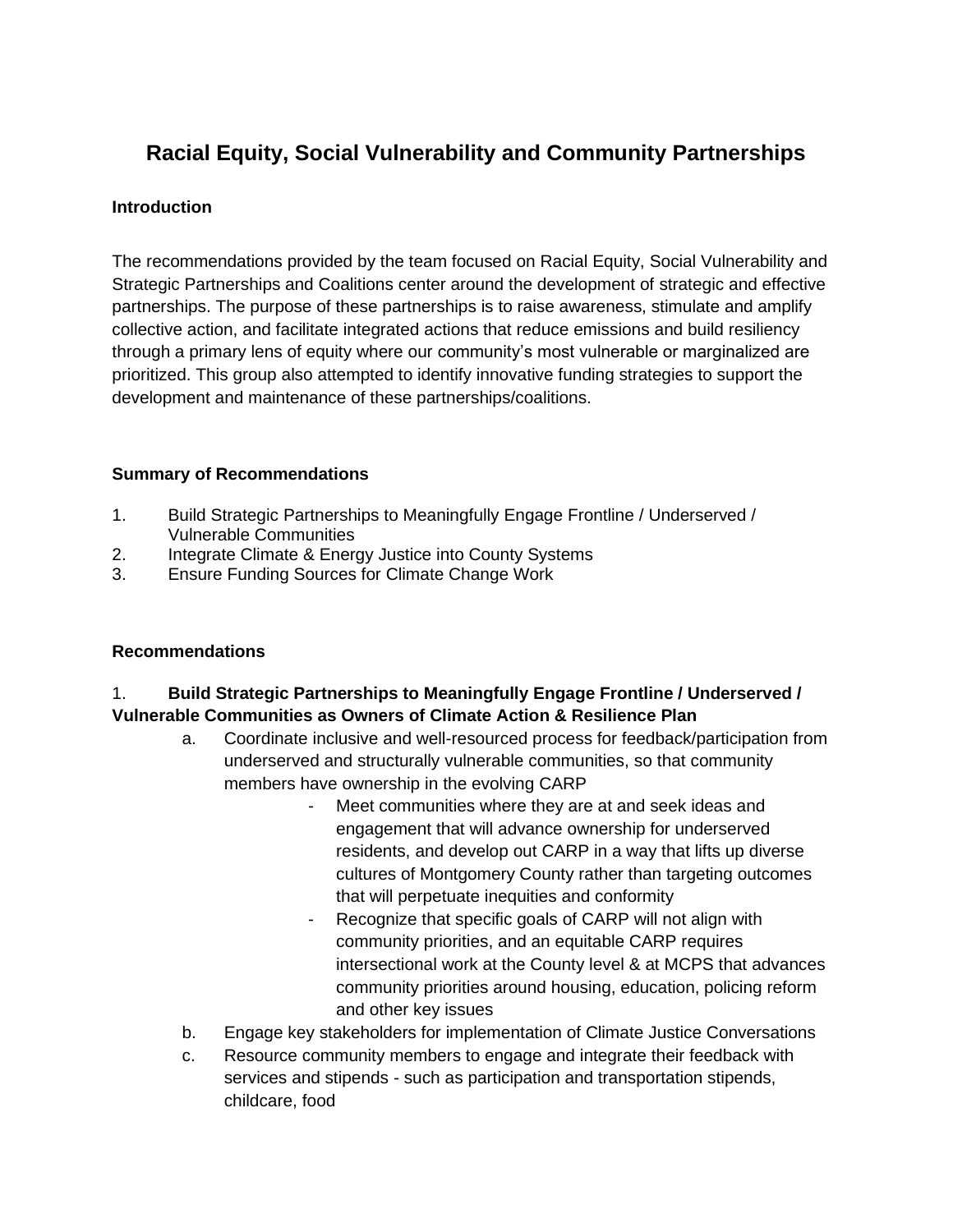# **Racial Equity, Social Vulnerability and Community Partnerships**

### **Introduction**

The recommendations provided by the team focused on Racial Equity, Social Vulnerability and Strategic Partnerships and Coalitions center around the development of strategic and effective partnerships. The purpose of these partnerships is to raise awareness, stimulate and amplify collective action, and facilitate integrated actions that reduce emissions and build resiliency through a primary lens of equity where our community's most vulnerable or marginalized are prioritized. This group also attempted to identify innovative funding strategies to support the development and maintenance of these partnerships/coalitions.

#### **Summary of Recommendations**

- 1. Build Strategic Partnerships to Meaningfully Engage Frontline / Underserved / Vulnerable Communities
- 2. Integrate Climate & Energy Justice into County Systems
- 3. Ensure Funding Sources for Climate Change Work

#### **Recommendations**

## 1. **Build Strategic Partnerships to Meaningfully Engage Frontline / Underserved / Vulnerable Communities as Owners of Climate Action & Resilience Plan**

- a. Coordinate inclusive and well-resourced process for feedback/participation from underserved and structurally vulnerable communities, so that community members have ownership in the evolving CARP
	- Meet communities where they are at and seek ideas and engagement that will advance ownership for underserved residents, and develop out CARP in a way that lifts up diverse cultures of Montgomery County rather than targeting outcomes that will perpetuate inequities and conformity
	- Recognize that specific goals of CARP will not align with community priorities, and an equitable CARP requires intersectional work at the County level & at MCPS that advances community priorities around housing, education, policing reform and other key issues
- b. Engage key stakeholders for implementation of Climate Justice Conversations
- c. Resource community members to engage and integrate their feedback with services and stipends - such as participation and transportation stipends, childcare, food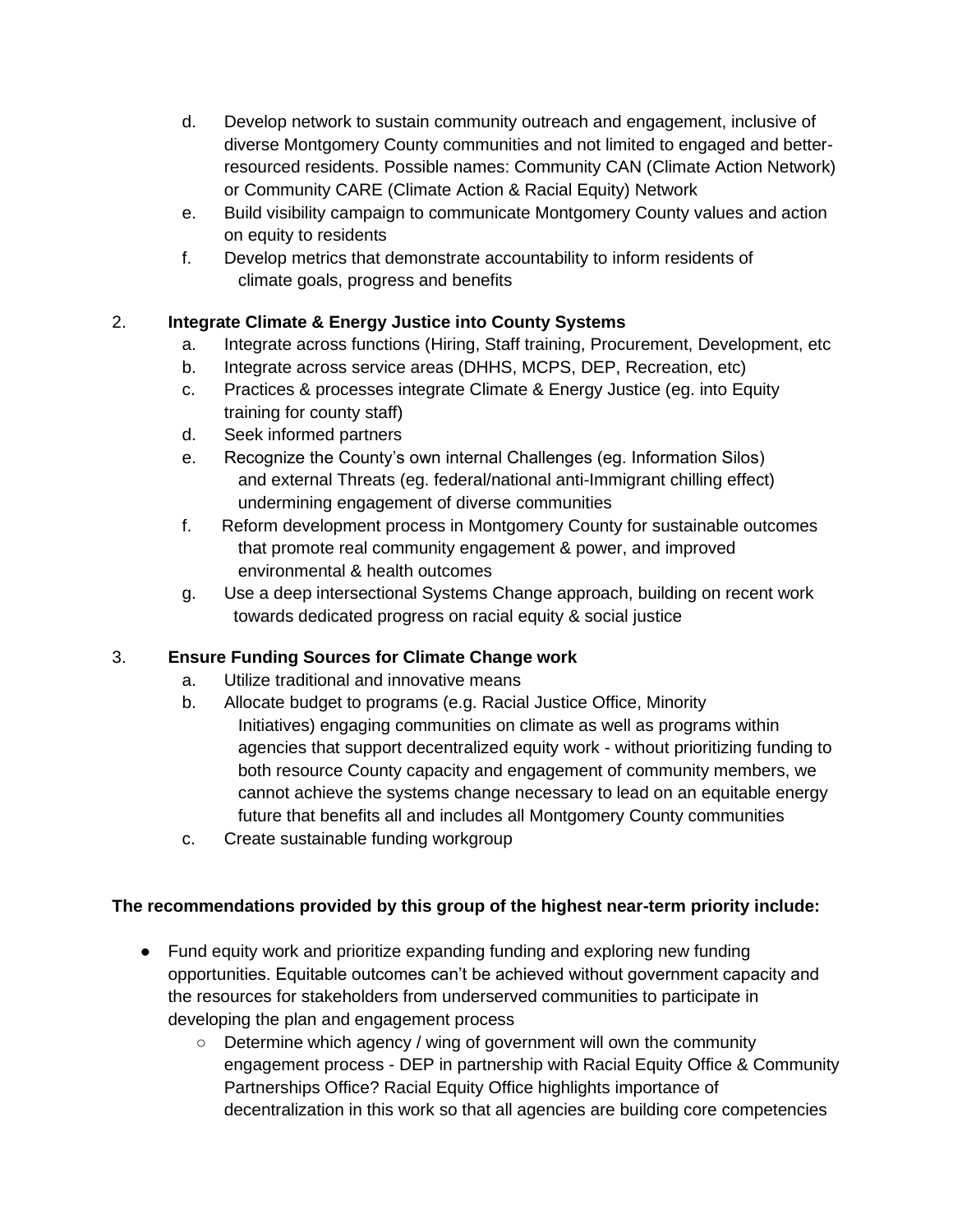- d. Develop network to sustain community outreach and engagement, inclusive of diverse Montgomery County communities and not limited to engaged and betterresourced residents. Possible names: Community CAN (Climate Action Network) or Community CARE (Climate Action & Racial Equity) Network
- e. Build visibility campaign to communicate Montgomery County values and action on equity to residents
- f. Develop metrics that demonstrate accountability to inform residents of climate goals, progress and benefits

# 2. **Integrate Climate & Energy Justice into County Systems**

- a. Integrate across functions (Hiring, Staff training, Procurement, Development, etc
- b. Integrate across service areas (DHHS, MCPS, DEP, Recreation, etc)
- c. Practices & processes integrate Climate & Energy Justice (eg. into Equity training for county staff)
- d. Seek informed partners
- e. Recognize the County's own internal Challenges (eg. Information Silos) and external Threats (eg. federal/national anti-Immigrant chilling effect) undermining engagement of diverse communities
- f. Reform development process in Montgomery County for sustainable outcomes that promote real community engagement & power, and improved environmental & health outcomes
- g. Use a deep intersectional Systems Change approach, building on recent work towards dedicated progress on racial equity & social justice

# 3. **Ensure Funding Sources for Climate Change work**

- a. Utilize traditional and innovative means
- b. Allocate budget to programs (e.g. Racial Justice Office, Minority Initiatives) engaging communities on climate as well as programs within agencies that support decentralized equity work - without prioritizing funding to both resource County capacity and engagement of community members, we cannot achieve the systems change necessary to lead on an equitable energy future that benefits all and includes all Montgomery County communities
- c. Create sustainable funding workgroup

# **The recommendations provided by this group of the highest near-term priority include:**

- Fund equity work and prioritize expanding funding and exploring new funding opportunities. Equitable outcomes can't be achieved without government capacity and the resources for stakeholders from underserved communities to participate in developing the plan and engagement process
	- Determine which agency / wing of government will own the community engagement process - DEP in partnership with Racial Equity Office & Community Partnerships Office? Racial Equity Office highlights importance of decentralization in this work so that all agencies are building core competencies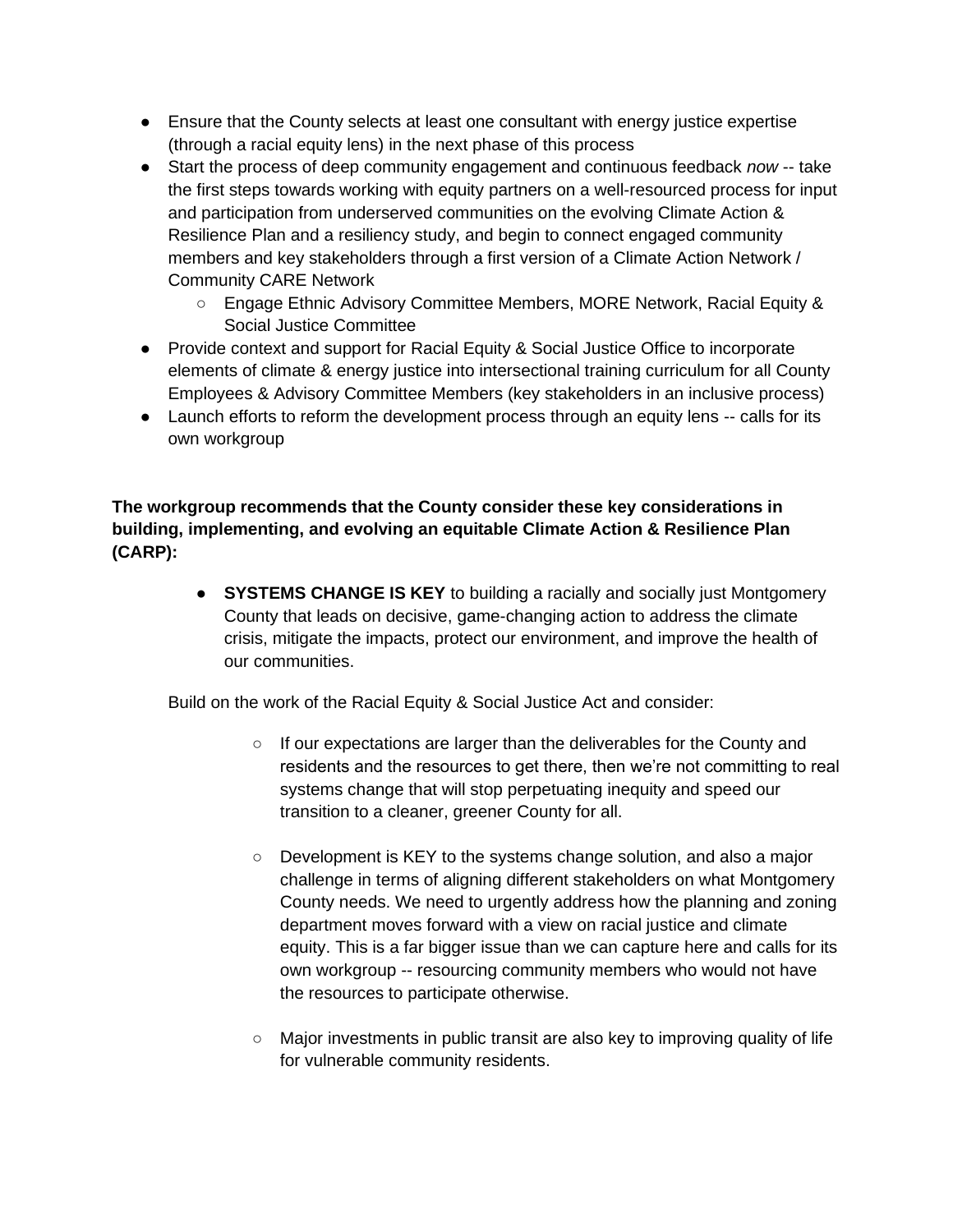- Ensure that the County selects at least one consultant with energy justice expertise (through a racial equity lens) in the next phase of this process
- Start the process of deep community engagement and continuous feedback *now* -- take the first steps towards working with equity partners on a well-resourced process for input and participation from underserved communities on the evolving Climate Action & Resilience Plan and a resiliency study, and begin to connect engaged community members and key stakeholders through a first version of a Climate Action Network / Community CARE Network
	- Engage Ethnic Advisory Committee Members, MORE Network, Racial Equity & Social Justice Committee
- Provide context and support for Racial Equity & Social Justice Office to incorporate elements of climate & energy justice into intersectional training curriculum for all County Employees & Advisory Committee Members (key stakeholders in an inclusive process)
- Launch efforts to reform the development process through an equity lens -- calls for its own workgroup

### **The workgroup recommends that the County consider these key considerations in building, implementing, and evolving an equitable Climate Action & Resilience Plan (CARP):**

● **SYSTEMS CHANGE IS KEY** to building a racially and socially just Montgomery County that leads on decisive, game-changing action to address the climate crisis, mitigate the impacts, protect our environment, and improve the health of our communities.

Build on the work of the Racial Equity & Social Justice Act and consider:

- If our expectations are larger than the deliverables for the County and residents and the resources to get there, then we're not committing to real systems change that will stop perpetuating inequity and speed our transition to a cleaner, greener County for all.
- $\circ$  Development is KEY to the systems change solution, and also a major challenge in terms of aligning different stakeholders on what Montgomery County needs. We need to urgently address how the planning and zoning department moves forward with a view on racial justice and climate equity. This is a far bigger issue than we can capture here and calls for its own workgroup -- resourcing community members who would not have the resources to participate otherwise.
- Major investments in public transit are also key to improving quality of life for vulnerable community residents.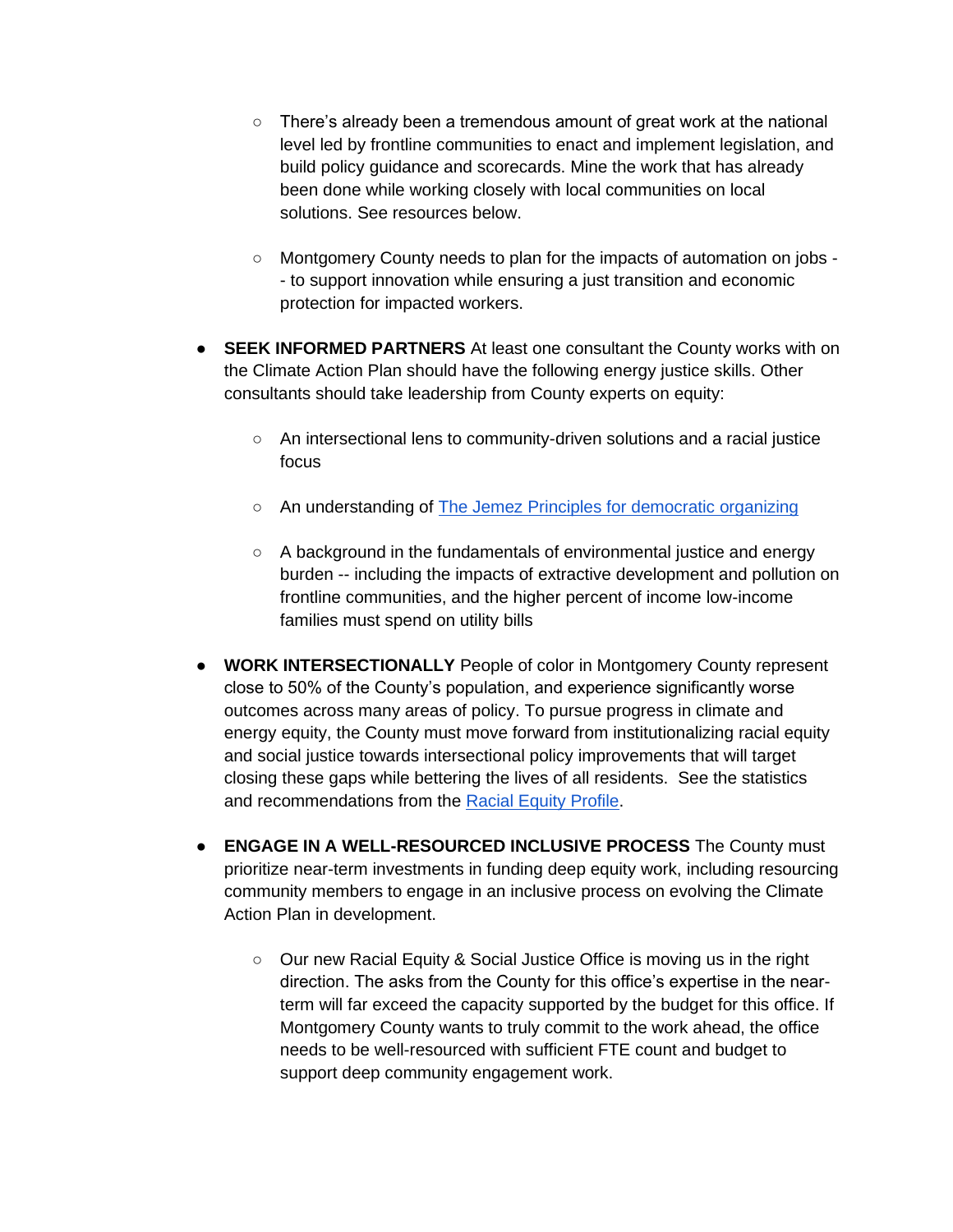- There's already been a tremendous amount of great work at the national level led by frontline communities to enact and implement legislation, and build policy guidance and scorecards. Mine the work that has already been done while working closely with local communities on local solutions. See resources below.
- Montgomery County needs to plan for the impacts of automation on jobs -- to support innovation while ensuring a just transition and economic protection for impacted workers.
- **SEEK INFORMED PARTNERS** At least one consultant the County works with on the Climate Action Plan should have the following energy justice skills. Other consultants should take leadership from County experts on equity:
	- An intersectional lens to community-driven solutions and a racial justice focus
	- An understanding of [The Jemez Principles for democratic organizing](https://www.ejnet.org/ej/jemez.pdf)
	- A background in the fundamentals of environmental justice and energy burden -- including the impacts of extractive development and pollution on frontline communities, and the higher percent of income low-income families must spend on utility bills
- **WORK INTERSECTIONALLY** People of color in Montgomery County represent close to 50% of the County's population, and experience significantly worse outcomes across many areas of policy. To pursue progress in climate and energy equity, the County must move forward from institutionalizing racial equity and social justice towards intersectional policy improvements that will target closing these gaps while bettering the lives of all residents. See the statistics and recommendations from the [Racial Equity Profile.](https://www.montgomerycountymd.gov/OLO/Resources/Files/2019%20Reports/OLO2019-7-6_20_19.pdf)
- **ENGAGE IN A WELL-RESOURCED INCLUSIVE PROCESS** The County must prioritize near-term investments in funding deep equity work, including resourcing community members to engage in an inclusive process on evolving the Climate Action Plan in development.
	- Our new Racial Equity & Social Justice Office is moving us in the right direction. The asks from the County for this office's expertise in the nearterm will far exceed the capacity supported by the budget for this office. If Montgomery County wants to truly commit to the work ahead, the office needs to be well-resourced with sufficient FTE count and budget to support deep community engagement work.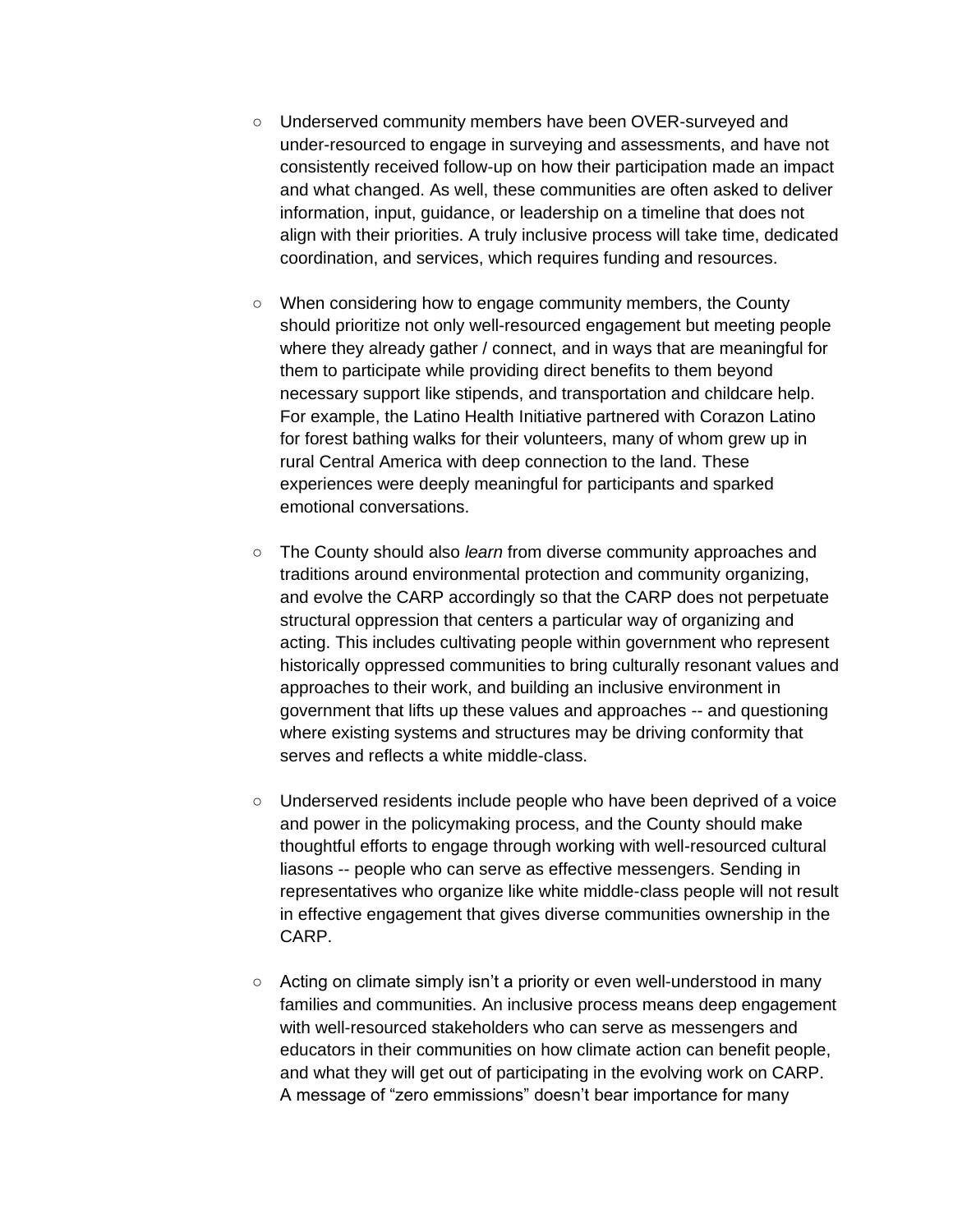- Underserved community members have been OVER-surveyed and under-resourced to engage in surveying and assessments, and have not consistently received follow-up on how their participation made an impact and what changed. As well, these communities are often asked to deliver information, input, guidance, or leadership on a timeline that does not align with their priorities. A truly inclusive process will take time, dedicated coordination, and services, which requires funding and resources.
- When considering how to engage community members, the County should prioritize not only well-resourced engagement but meeting people where they already gather / connect, and in ways that are meaningful for them to participate while providing direct benefits to them beyond necessary support like stipends, and transportation and childcare help. For example, the Latino Health Initiative partnered with Corazon Latino for forest bathing walks for their volunteers, many of whom grew up in rural Central America with deep connection to the land. These experiences were deeply meaningful for participants and sparked emotional conversations.
- The County should also *learn* from diverse community approaches and traditions around environmental protection and community organizing, and evolve the CARP accordingly so that the CARP does not perpetuate structural oppression that centers a particular way of organizing and acting. This includes cultivating people within government who represent historically oppressed communities to bring culturally resonant values and approaches to their work, and building an inclusive environment in government that lifts up these values and approaches -- and questioning where existing systems and structures may be driving conformity that serves and reflects a white middle-class.
- Underserved residents include people who have been deprived of a voice and power in the policymaking process, and the County should make thoughtful efforts to engage through working with well-resourced cultural liasons -- people who can serve as effective messengers. Sending in representatives who organize like white middle-class people will not result in effective engagement that gives diverse communities ownership in the CARP.
- Acting on climate simply isn't a priority or even well-understood in many families and communities. An inclusive process means deep engagement with well-resourced stakeholders who can serve as messengers and educators in their communities on how climate action can benefit people, and what they will get out of participating in the evolving work on CARP. A message of "zero emmissions" doesn't bear importance for many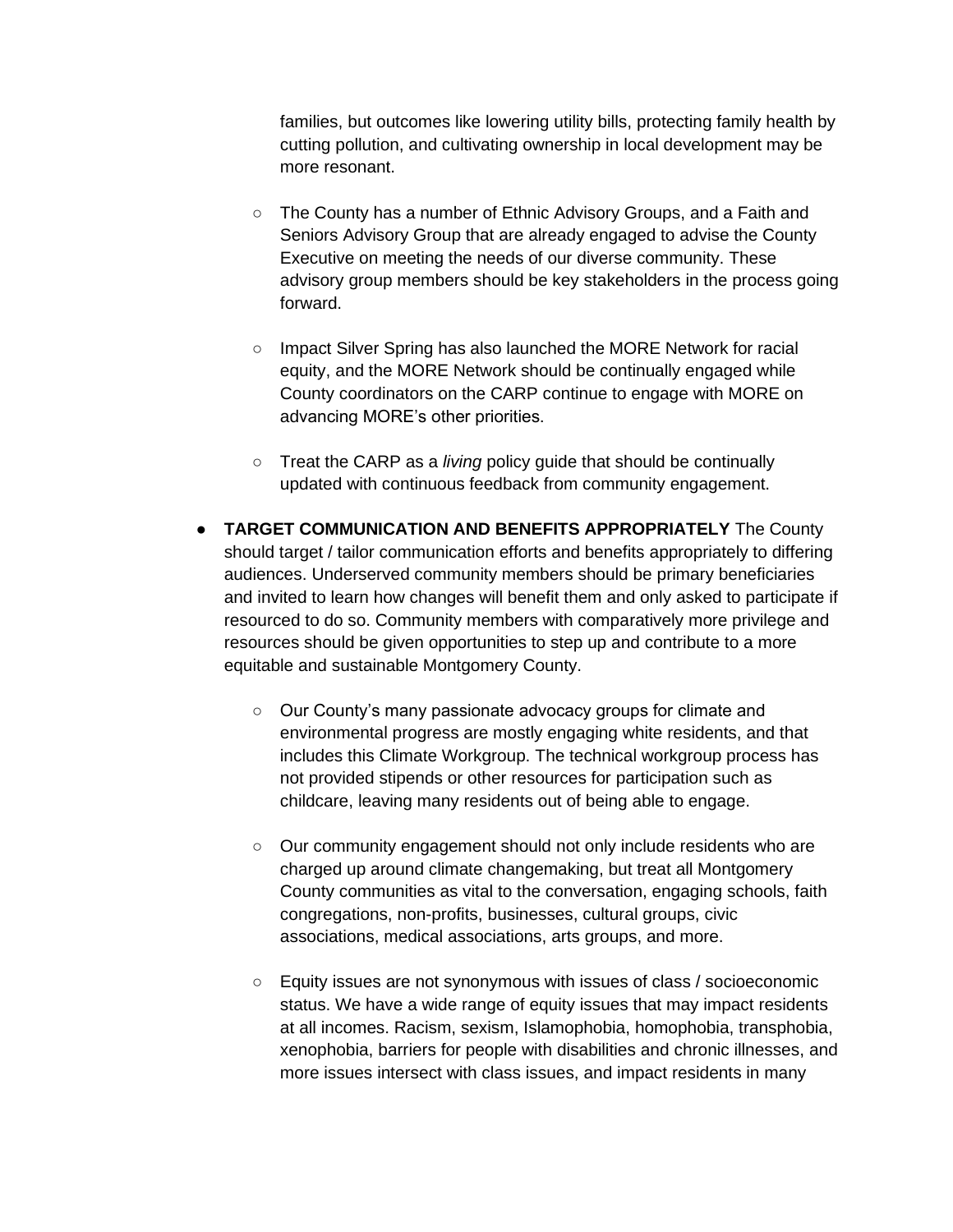families, but outcomes like lowering utility bills, protecting family health by cutting pollution, and cultivating ownership in local development may be more resonant.

- The County has a number of Ethnic Advisory Groups, and a Faith and Seniors Advisory Group that are already engaged to advise the County Executive on meeting the needs of our diverse community. These advisory group members should be key stakeholders in the process going forward.
- Impact Silver Spring has also launched the MORE Network for racial equity, and the MORE Network should be continually engaged while County coordinators on the CARP continue to engage with MORE on advancing MORE's other priorities.
- Treat the CARP as a *living* policy guide that should be continually updated with continuous feedback from community engagement.
- **TARGET COMMUNICATION AND BENEFITS APPROPRIATELY** The County should target / tailor communication efforts and benefits appropriately to differing audiences. Underserved community members should be primary beneficiaries and invited to learn how changes will benefit them and only asked to participate if resourced to do so. Community members with comparatively more privilege and resources should be given opportunities to step up and contribute to a more equitable and sustainable Montgomery County.
	- Our County's many passionate advocacy groups for climate and environmental progress are mostly engaging white residents, and that includes this Climate Workgroup. The technical workgroup process has not provided stipends or other resources for participation such as childcare, leaving many residents out of being able to engage.
	- Our community engagement should not only include residents who are charged up around climate changemaking, but treat all Montgomery County communities as vital to the conversation, engaging schools, faith congregations, non-profits, businesses, cultural groups, civic associations, medical associations, arts groups, and more.
	- Equity issues are not synonymous with issues of class / socioeconomic status. We have a wide range of equity issues that may impact residents at all incomes. Racism, sexism, Islamophobia, homophobia, transphobia, xenophobia, barriers for people with disabilities and chronic illnesses, and more issues intersect with class issues, and impact residents in many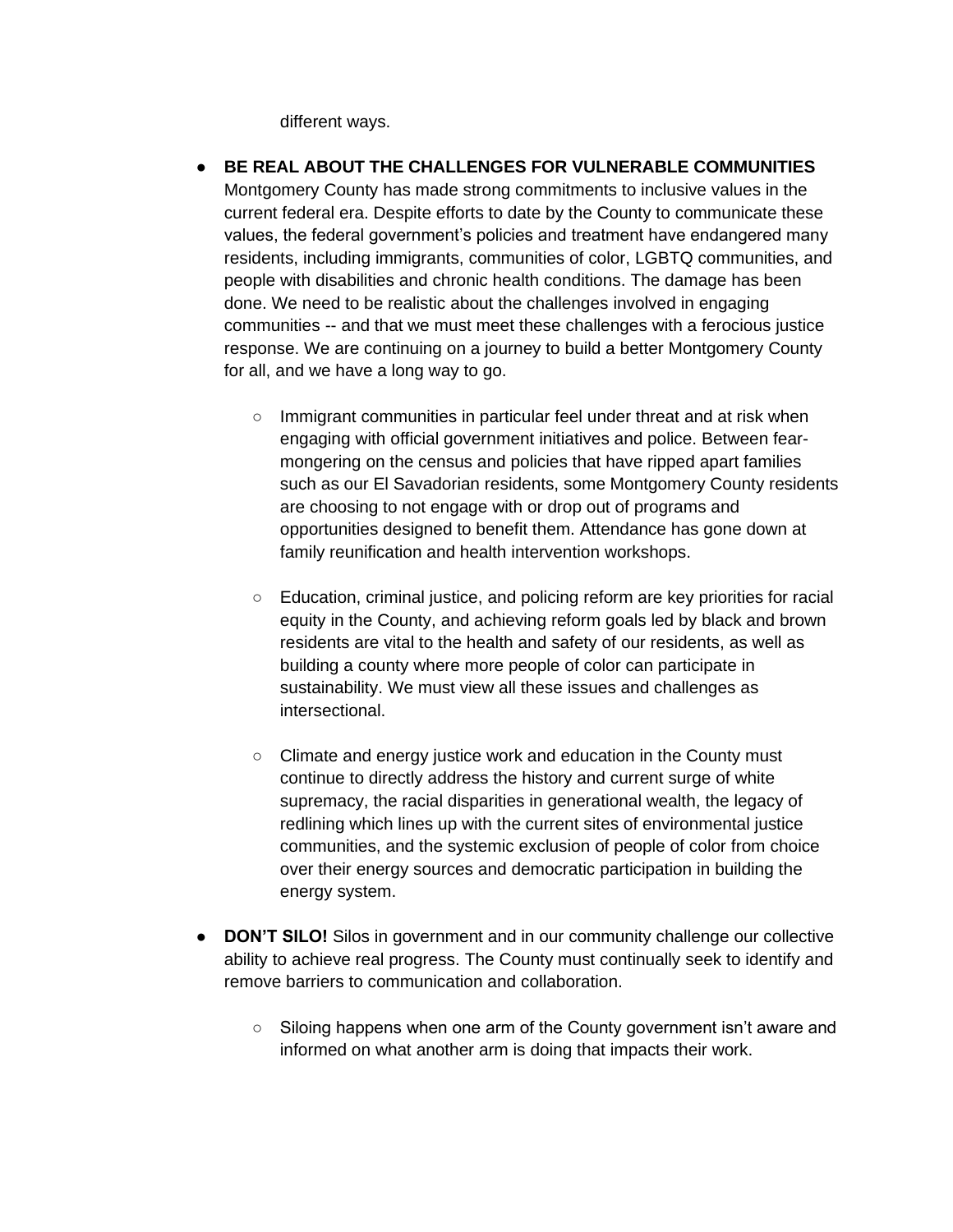different ways.

- **BE REAL ABOUT THE CHALLENGES FOR VULNERABLE COMMUNITIES**  Montgomery County has made strong commitments to inclusive values in the current federal era. Despite efforts to date by the County to communicate these values, the federal government's policies and treatment have endangered many residents, including immigrants, communities of color, LGBTQ communities, and people with disabilities and chronic health conditions. The damage has been done. We need to be realistic about the challenges involved in engaging communities -- and that we must meet these challenges with a ferocious justice response. We are continuing on a journey to build a better Montgomery County for all, and we have a long way to go.
	- Immigrant communities in particular feel under threat and at risk when engaging with official government initiatives and police. Between fearmongering on the census and policies that have ripped apart families such as our El Savadorian residents, some Montgomery County residents are choosing to not engage with or drop out of programs and opportunities designed to benefit them. Attendance has gone down at family reunification and health intervention workshops.
	- Education, criminal justice, and policing reform are key priorities for racial equity in the County, and achieving reform goals led by black and brown residents are vital to the health and safety of our residents, as well as building a county where more people of color can participate in sustainability. We must view all these issues and challenges as intersectional.
	- Climate and energy justice work and education in the County must continue to directly address the history and current surge of white supremacy, the racial disparities in generational wealth, the legacy of redlining which lines up with the current sites of environmental justice communities, and the systemic exclusion of people of color from choice over their energy sources and democratic participation in building the energy system.
- **DON'T SILO!** Silos in government and in our community challenge our collective ability to achieve real progress. The County must continually seek to identify and remove barriers to communication and collaboration.
	- Siloing happens when one arm of the County government isn't aware and informed on what another arm is doing that impacts their work.